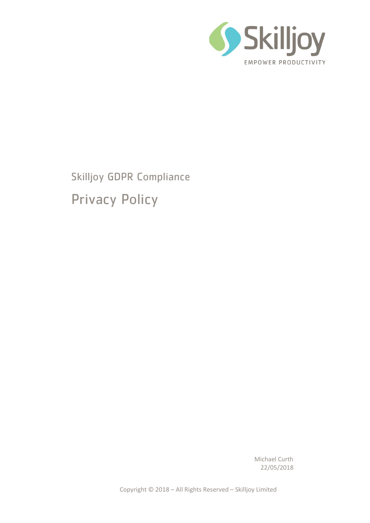

Skilljoy GDPR Compliance Privacy Policy

> Michael Curth 22/05/2018

Copyright © 2018 – All Rights Reserved – Skilljoy Limited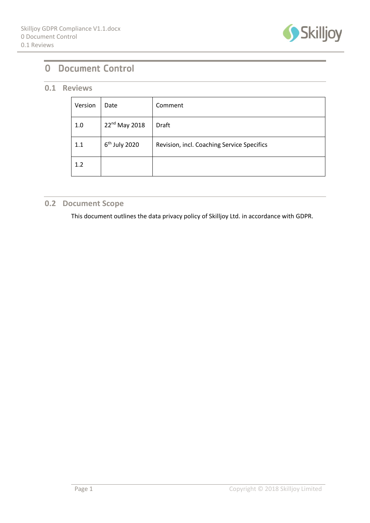

# 0 Document Control

## **0.1 Reviews**

| Version | Date                      | Comment                                    |
|---------|---------------------------|--------------------------------------------|
| 1.0     | 22 <sup>nd</sup> May 2018 | <b>Draft</b>                               |
| 1.1     | $6th$ July 2020           | Revision, incl. Coaching Service Specifics |
| 1.2     |                           |                                            |

## **0.2 Document Scope**

This document outlines the data privacy policy of Skilljoy Ltd. in accordance with GDPR.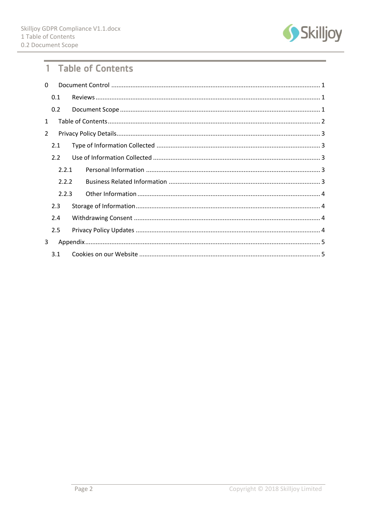

# 1 Table of Contents

| 0              |       |  |  |  |  |  |
|----------------|-------|--|--|--|--|--|
|                | 0.1   |  |  |  |  |  |
|                | 0.2   |  |  |  |  |  |
| $\mathbf{1}$   |       |  |  |  |  |  |
| $\overline{2}$ |       |  |  |  |  |  |
|                | 2.1   |  |  |  |  |  |
|                | 2.2   |  |  |  |  |  |
|                | 2.2.1 |  |  |  |  |  |
|                | 2.2.2 |  |  |  |  |  |
|                | 2.2.3 |  |  |  |  |  |
|                | 2.3   |  |  |  |  |  |
|                | 2.4   |  |  |  |  |  |
|                | 2.5   |  |  |  |  |  |
| 3              |       |  |  |  |  |  |
|                | 3.1   |  |  |  |  |  |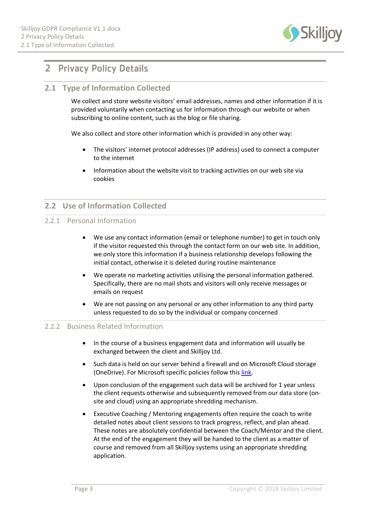

# 2 Privacy Policy Details

## **2.1 Type of Information Collected**

We collect and store website visitors' email addresses, names and other information if it is provided voluntarily when contacting us for information through our website or when subscribing to online content, such as the blog or file sharing.

We also collect and store other information which is provided in any other way:

- The visitors' internet protocol addresses (IP address) used to connect a computer to the internet
- Information about the website visit to tracking activities on our web site via cookies

## **2.2 Use of Information Collected**

### 2.2.1 Personal Information

- We use any contact information (email or telephone number) to get in touch only if the visitor requested this through the contact form on our web site. In addition, we only store this information if a business relationship develops following the initial contact, otherwise it is deleted during routine maintenance
- We operate no marketing activities utilising the personal information gathered. Specifically, there are no mail shots and visitors will only receive messages or emails on request
- We are not passing on any personal or any other information to any third party unless requested to do so by the individual or company concerned

#### 2.2.2 Business Related Information

- In the course of a business engagement data and information will usually be exchanged between the client and Skilljoy Ltd.
- Such data is held on our server behind a firewall and on Microsoft Cloud storage (OneDrive). For Microsoft specific policies follow this [link.](https://www.microsoft.com/en-gb/trust-center/privacy/gdpr-overview)
- Upon conclusion of the engagement such data will be archived for 1 year unless the client requests otherwise and subsequently removed from our data store (onsite and cloud) using an appropriate shredding mechanism.
- Executive Coaching / Mentoring engagements often require the coach to write detailed notes about client sessions to track progress, reflect, and plan ahead. These notes are absolutely confidential between the Coach/Mentor and the client. At the end of the engagement they will be handed to the client as a matter of course and removed from all Skilljoy systems using an appropriate shredding application.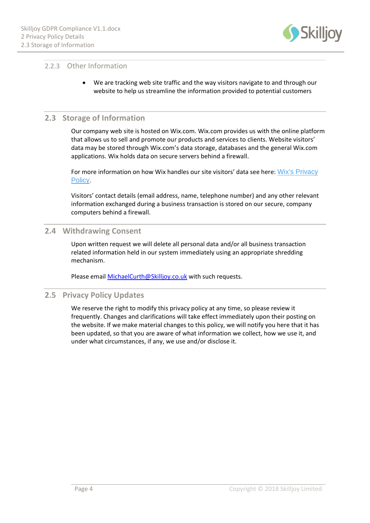

## 2.2.3 Other Information

• We are tracking web site traffic and the way visitors navigate to and through our website to help us streamline the information provided to potential customers

### **2.3 Storage of Information**

Our company web site is hosted on Wix.com. Wix.com provides us with the online platform that allows us to sell and promote our products and services to clients. Website visitors' data may be stored through Wix.com's data storage, databases and the general Wix.com applications. Wix holds data on secure servers behind a firewall.

For more information on how Wix handles our site visitors' data see here: Wix's Privacy [Policy.](https://www.wix.com/about/privacy)

Visitors' contact details (email address, name, telephone number) and any other relevant information exchanged during a business transaction is stored on our secure, company computers behind a firewall.

### **2.4 Withdrawing Consent**

Upon written request we will delete all personal data and/or all business transaction related information held in our system immediately using an appropriate shredding mechanism.

Please email [MichaelCurth@Skilljoy.co.uk](mailto:MichaelCurth@Skilljoy.co.uk) with such requests.

### **2.5 Privacy Policy Updates**

We reserve the right to modify this privacy policy at any time, so please review it frequently. Changes and clarifications will take effect immediately upon their posting on the website. If we make material changes to this policy, we will notify you here that it has been updated, so that you are aware of what information we collect, how we use it, and under what circumstances, if any, we use and/or disclose it.